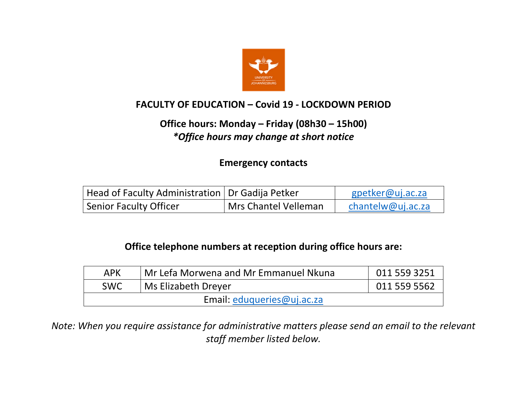

## **FACULTY OF EDUCATION – Covid 19 - LOCKDOWN PERIOD**

## **Office hours: Monday – Friday (08h30 – 15h00)**  *\*Office hours may change at short notice*

**Emergency contacts**

| Head of Faculty Administration   Dr Gadija Petker |                      | gpetker@uj.ac.za  |
|---------------------------------------------------|----------------------|-------------------|
| <b>Senior Faculty Officer</b>                     | Mrs Chantel Velleman | chantelw@uj.ac.za |

## **Office telephone numbers at reception during office hours are:**

| <b>APK</b>                 | Mr Lefa Morwena and Mr Emmanuel Nkuna | 011 559 3251 |  |  |  |
|----------------------------|---------------------------------------|--------------|--|--|--|
| <b>SWC</b>                 | <sup>I</sup> Ms Elizabeth Dreyer      | 011 559 5562 |  |  |  |
| Email: eduqueries@uj.ac.za |                                       |              |  |  |  |

*Note: When you require assistance for administrative matters please send an email to the relevant staff member listed below.*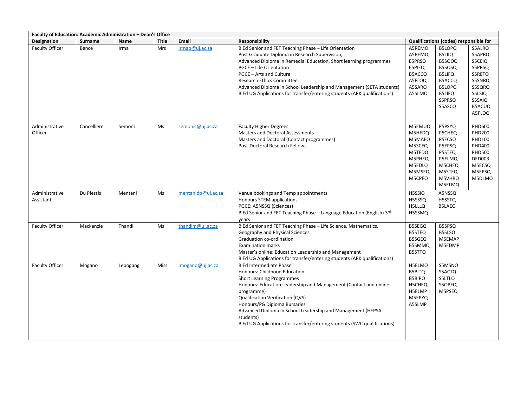| Faculty of Education: Academic Administration - Dean's Office |                |          |              |                    |                                                                                                                                                                                                                                                                                                                                                                                                                                   |                                                                                        |                                                                                                                              |                                                                                                                       |  |
|---------------------------------------------------------------|----------------|----------|--------------|--------------------|-----------------------------------------------------------------------------------------------------------------------------------------------------------------------------------------------------------------------------------------------------------------------------------------------------------------------------------------------------------------------------------------------------------------------------------|----------------------------------------------------------------------------------------|------------------------------------------------------------------------------------------------------------------------------|-----------------------------------------------------------------------------------------------------------------------|--|
| Designation                                                   | <b>Surname</b> | Name     | <b>Title</b> | Email              | Responsibility                                                                                                                                                                                                                                                                                                                                                                                                                    |                                                                                        | Qualifications (codes) responsible for                                                                                       |                                                                                                                       |  |
| <b>Faculty Officer</b>                                        | Bence          | Irma     | <b>Mrs</b>   | irmab@uj.ac.za     | B Ed Senior and FET Teaching Phase - Life Orientation<br>Post Graduate Diploma in Research Supervision,<br>Advanced Diploma in Remedial Education, Short learning programmes<br><b>PGCE - Life Orientation</b><br>PGCE - Arts and Culture<br><b>Research Ethics Committee</b><br>Advanced Diploma in School Leadership and Management (SETA students)<br>B Ed UG Applications for transfer/entering students (APK qualifications) | A5REMO<br>A5REMQ<br>E5PRSQ<br>E5PIEQ<br><b>B5ACCQ</b><br>A5FLOQ<br>A5SARQ<br>A5SLMO    | B5LOPQ<br>B5LIIQ<br>B5SOOQ<br>B5SOSQ<br><b>B5LIFQ</b><br><b>B5ACCQ</b><br><b>B5LOPQ</b><br><b>B5LIFQ</b><br>S5PRSQ<br>S5ASCQ | S5ALRQ<br>S5APRQ<br><b>S5CEIQ</b><br>S5PRSQ<br>S5RETQ<br>S5SNRQ<br>S5SQRQ<br>S5LSIQ<br>S5SAIQ<br><b>B5ACUQ</b>        |  |
| Administrative<br>Officer                                     | Cancelliere    | Semoni   | <b>Ms</b>    | semonic@uj.ac.za   | <b>Faculty Higher Degrees</b><br><b>Masters and Doctoral Assessments</b><br>Masters and Doctoral (Contact programmes)<br><b>Post-Doctoral Research Fellows</b>                                                                                                                                                                                                                                                                    | M5EMUQ<br>M5HEDQ<br>M5MAEQ<br>M5SCEQ<br>M5TEDQ<br>M5PHEQ<br>M5EDLQ<br>M5MSEQ<br>M5CPEQ | P5PSYQ<br>P5CHEQ<br>P5ECSQ<br>P5EPSQ<br>P5STEQ<br>P5ELMQ<br>M5CHEQ<br>M5STEQ<br>M5VHRQ<br>M5ELMQ                             | A5FLOQ<br><b>PHD600</b><br><b>PHD200</b><br>PHD100<br>PHD400<br><b>PHD500</b><br>DED003<br>M5ECSQ<br>M5EPSQ<br>M5DLMQ |  |
| Administrative<br>Assistant                                   | Du Plessis     | Mentani  | Ms           | mentanidp@uj.ac.za | Venue bookings and Temp appointments<br>Honours STEM applications<br>PGCE: A5NSSQ (Sciences)<br>B Ed Senior and FET Teaching Phase - Language Education (English) 3rd<br>years                                                                                                                                                                                                                                                    | H5SSIQ<br>H5SSSQ<br>H5LLLQ<br>H5SSMQ                                                   | A5NSSQ<br>H5SSTQ<br><b>B5LAEQ</b>                                                                                            |                                                                                                                       |  |
| <b>Faculty Officer</b>                                        | Mackenzie      | Thandi   | Ms           | thandim@uj.ac.za   | B Ed Senior and FET Teaching Phase - Life Science, Mathematics,<br>Geography and Physical Sciences<br>Graduation co-ordination<br><b>Examination marks</b><br>Master's online: Education Leadership and Management<br>B Ed UG Applications for transfer/entering students (APK qualifications)                                                                                                                                    | B5SEGQ<br><b>B5STEQ</b><br>B5SGEQ<br><b>B5SMMQ</b><br><b>B5STTQ</b>                    | B5SPSQ<br><b>B5SLSQ</b><br>M5EMAP<br>M5EDMP                                                                                  |                                                                                                                       |  |
| Faculty Officer                                               | Mogano         | Lebogang | Miss         | Imogano@uj.ac.za   | <b>B Ed Intermediate Phase</b><br>Honours: Childhood Education<br><b>Short Learning Programmes</b><br>Honours: Education Leadership and Management (Contact and online<br>programme)<br>Qualification Verification (QVS)<br>Honours/PG Diploma Bursaries<br>Advanced Diploma in School Leadership and Management (HEPSA<br>students)<br>B Ed UG Applications for transfer/entering students (SWC qualifications)                  | H5ELMQ<br><b>B5BITQ</b><br>B5BIPQ<br>H5CHEQ<br>H5ELMP<br>M5EPYQ<br>A5SLMP              | S5MSNO<br>S5ACTQ<br>S5LTLQ<br>S5OPFQ<br>M5PSEQ                                                                               |                                                                                                                       |  |